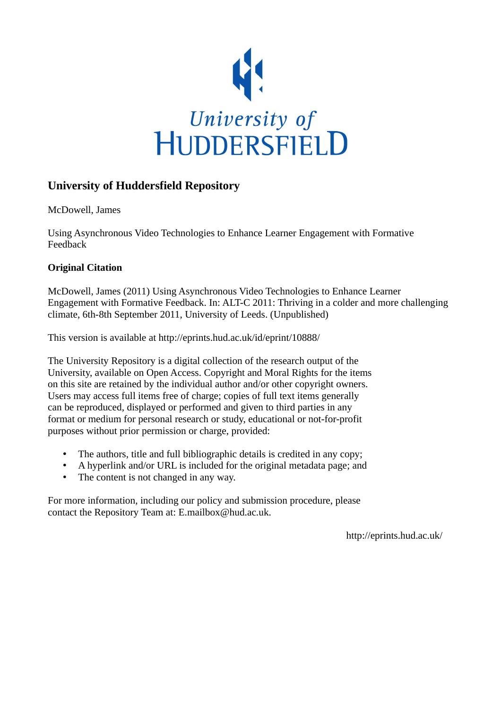

# **University of Huddersfield Repository**

McDowell, James

Using Asynchronous Video Technologies to Enhance Learner Engagement with Formative Feedback

# **Original Citation**

McDowell, James (2011) Using Asynchronous Video Technologies to Enhance Learner Engagement with Formative Feedback. In: ALT-C 2011: Thriving in a colder and more challenging climate, 6th-8th September 2011, University of Leeds. (Unpublished)

This version is available at http://eprints.hud.ac.uk/id/eprint/10888/

The University Repository is a digital collection of the research output of the University, available on Open Access. Copyright and Moral Rights for the items on this site are retained by the individual author and/or other copyright owners. Users may access full items free of charge; copies of full text items generally can be reproduced, displayed or performed and given to third parties in any format or medium for personal research or study, educational or not-for-profit purposes without prior permission or charge, provided:

- The authors, title and full bibliographic details is credited in any copy;
- A hyperlink and/or URL is included for the original metadata page; and
- The content is not changed in any way.

For more information, including our policy and submission procedure, please contact the Repository Team at: E.mailbox@hud.ac.uk.

http://eprints.hud.ac.uk/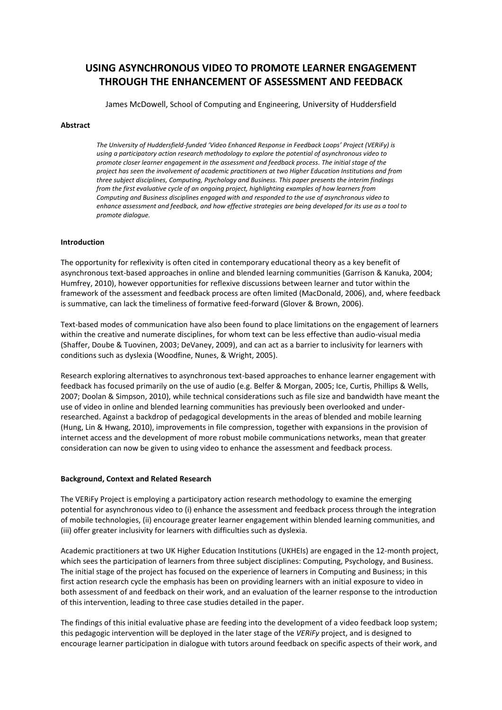# **USING ASYNCHRONOUS VIDEO TO PROMOTE LEARNER ENGAGEMENT THROUGH THE ENHANCEMENT OF ASSESSMENT AND FEEDBACK**

James McDowell, School of Computing and Engineering, University of Huddersfield

### **Abstract**

*The University of Huddersfield-funded 'Video Enhanced Response in Feedback Loops' Project (VERiFy) is using a participatory action research methodology to explore the potential of asynchronous video to promote closer learner engagement in the assessment and feedback process. The initial stage of the project has seen the involvement of academic practitioners at two Higher Education Institutions and from three subject disciplines, Computing, Psychology and Business. This paper presents the interim findings from the first evaluative cycle of an ongoing project, highlighting examples of how learners from Computing and Business disciplines engaged with and responded to the use of asynchronous video to enhance assessment and feedback, and how effective strategies are being developed for its use as a tool to promote dialogue.*

### **Introduction**

The opportunity for reflexivity is often cited in contemporary educational theory as a key benefit of asynchronous text-based approaches in online and blended learning communities (Garrison & Kanuka, 2004; Humfrey, 2010), however opportunities for reflexive discussions between learner and tutor within the framework of the assessment and feedback process are often limited (MacDonald, 2006), and, where feedback is summative, can lack the timeliness of formative feed-forward (Glover & Brown, 2006).

Text-based modes of communication have also been found to place limitations on the engagement of learners within the creative and numerate disciplines, for whom text can be less effective than audio-visual media (Shaffer, Doube & Tuovinen, 2003; DeVaney, 2009), and can act as a barrier to inclusivity for learners with conditions such as dyslexia (Woodfine, Nunes, & Wright, 2005).

Research exploring alternatives to asynchronous text-based approaches to enhance learner engagement with feedback has focused primarily on the use of audio (e.g. Belfer & Morgan, 2005; Ice, Curtis, Phillips & Wells, 2007; Doolan & Simpson, 2010), while technical considerations such as file size and bandwidth have meant the use of video in online and blended learning communities has previously been overlooked and underresearched. Against a backdrop of pedagogical developments in the areas of blended and mobile learning (Hung, Lin & Hwang, 2010), improvements in file compression, together with expansions in the provision of internet access and the development of more robust mobile communications networks, mean that greater consideration can now be given to using video to enhance the assessment and feedback process.

#### **Background, Context and Related Research**

The VERiFy Project is employing a participatory action research methodology to examine the emerging potential for asynchronous video to (i) enhance the assessment and feedback process through the integration of mobile technologies, (ii) encourage greater learner engagement within blended learning communities, and (iii) offer greater inclusivity for learners with difficulties such as dyslexia.

Academic practitioners at two UK Higher Education Institutions (UKHEIs) are engaged in the 12-month project, which sees the participation of learners from three subject disciplines: Computing, Psychology, and Business. The initial stage of the project has focused on the experience of learners in Computing and Business; in this first action research cycle the emphasis has been on providing learners with an initial exposure to video in both assessment of and feedback on their work, and an evaluation of the learner response to the introduction of this intervention, leading to three case studies detailed in the paper.

The findings of this initial evaluative phase are feeding into the development of a video feedback loop system; this pedagogic intervention will be deployed in the later stage of the *VERiFy* project, and is designed to encourage learner participation in dialogue with tutors around feedback on specific aspects of their work, and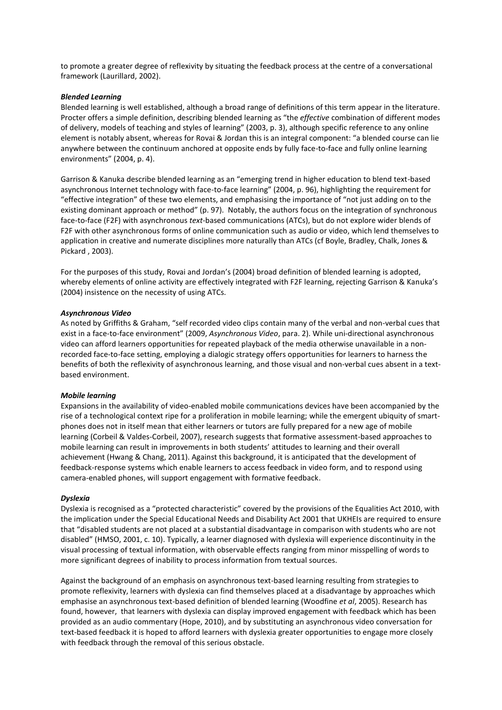to promote a greater degree of reflexivity by situating the feedback process at the centre of a conversational framework (Laurillard, 2002).

#### *Blended Learning*

Blended learning is well established, although a broad range of definitions of this term appear in the literature. Procter offers a simple definition, describing blended learning as "the *effective* combination of different modes of delivery, models of teaching and styles of learning" (2003, p. 3), although specific reference to any online element is notably absent, whereas for Rovai & Jordan this is an integral component: "a blended course can lie anywhere between the continuum anchored at opposite ends by fully face-to-face and fully online learning environments" (2004, p. 4).

Garrison & Kanuka describe blended learning as an "emerging trend in higher education to blend text-based asynchronous Internet technology with face-to-face learning" (2004, p. 96), highlighting the requirement for "effective integration" of these two elements, and emphasising the importance of "not just adding on to the existing dominant approach or method" (p. 97). Notably, the authors focus on the integration of synchronous face-to-face (F2F) with asynchronous *text*-based communications (ATCs), but do not explore wider blends of F2F with other asynchronous forms of online communication such as audio or video, which lend themselves to application in creative and numerate disciplines more naturally than ATCs (cf Boyle, Bradley, Chalk, Jones & Pickard , 2003).

For the purposes of this study, Rovai and Jordan's (2004) broad definition of blended learning is adopted, whereby elements of online activity are effectively integrated with F2F learning, rejecting Garrison & Kanuka's (2004) insistence on the necessity of using ATCs.

#### *Asynchronous Video*

As noted by Griffiths & Graham, "self recorded video clips contain many of the verbal and non-verbal cues that exist in a face-to-face environment" (2009, *Asynchronous Video*, para. 2). While uni-directional asynchronous video can afford learners opportunities for repeated playback of the media otherwise unavailable in a nonrecorded face-to-face setting, employing a dialogic strategy offers opportunities for learners to harness the benefits of both the reflexivity of asynchronous learning, and those visual and non-verbal cues absent in a textbased environment.

#### *Mobile learning*

Expansions in the availability of video-enabled mobile communications devices have been accompanied by the rise of a technological context ripe for a proliferation in mobile learning; while the emergent ubiquity of smartphones does not in itself mean that either learners or tutors are fully prepared for a new age of mobile learning (Corbeil & Valdes-Corbeil, 2007), research suggests that formative assessment-based approaches to mobile learning can result in improvements in both students' attitudes to learning and their overall achievement (Hwang & Chang, 2011). Against this background, it is anticipated that the development of feedback-response systems which enable learners to access feedback in video form, and to respond using camera-enabled phones, will support engagement with formative feedback.

#### *Dyslexia*

Dyslexia is recognised as a "protected characteristic" covered by the provisions of the Equalities Act 2010, with the implication under the Special Educational Needs and Disability Act 2001 that UKHEIs are required to ensure that "disabled students are not placed at a substantial disadvantage in comparison with students who are not disabled" (HMSO, 2001, c. 10). Typically, a learner diagnosed with dyslexia will experience discontinuity in the visual processing of textual information, with observable effects ranging from minor misspelling of words to more significant degrees of inability to process information from textual sources.

Against the background of an emphasis on asynchronous text-based learning resulting from strategies to promote reflexivity, learners with dyslexia can find themselves placed at a disadvantage by approaches which emphasise an asynchronous text-based definition of blended learning (Woodfine *et al*, 2005). Research has found, however, that learners with dyslexia can display improved engagement with feedback which has been provided as an audio commentary (Hope, 2010), and by substituting an asynchronous video conversation for text-based feedback it is hoped to afford learners with dyslexia greater opportunities to engage more closely with feedback through the removal of this serious obstacle.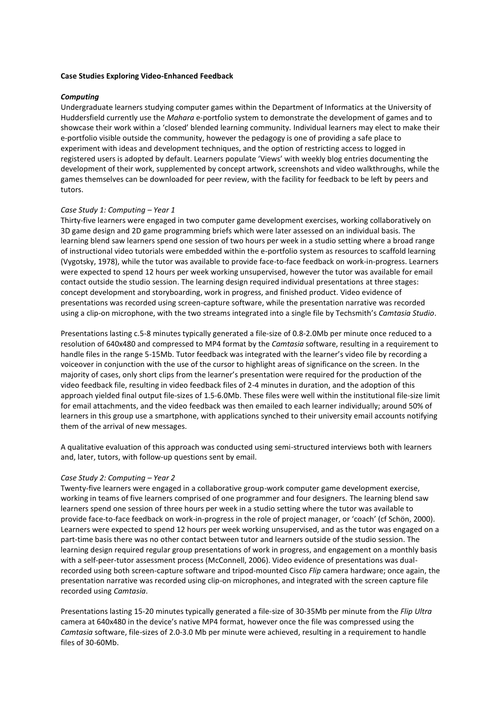### **Case Studies Exploring Video-Enhanced Feedback**

### *Computing*

Undergraduate learners studying computer games within the Department of Informatics at the University of Huddersfield currently use the *Mahara* e-portfolio system to demonstrate the development of games and to showcase their work within a 'closed' blended learning community. Individual learners may elect to make their e-portfolio visible outside the community, however the pedagogy is one of providing a safe place to experiment with ideas and development techniques, and the option of restricting access to logged in registered users is adopted by default. Learners populate 'Views' with weekly blog entries documenting the development of their work, supplemented by concept artwork, screenshots and video walkthroughs, while the games themselves can be downloaded for peer review, with the facility for feedback to be left by peers and tutors.

#### *Case Study 1: Computing – Year 1*

Thirty-five learners were engaged in two computer game development exercises, working collaboratively on 3D game design and 2D game programming briefs which were later assessed on an individual basis. The learning blend saw learners spend one session of two hours per week in a studio setting where a broad range of instructional video tutorials were embedded within the e-portfolio system as resources to scaffold learning (Vygotsky, 1978), while the tutor was available to provide face-to-face feedback on work-in-progress. Learners were expected to spend 12 hours per week working unsupervised, however the tutor was available for email contact outside the studio session. The learning design required individual presentations at three stages: concept development and storyboarding, work in progress, and finished product. Video evidence of presentations was recorded using screen-capture software, while the presentation narrative was recorded using a clip-on microphone, with the two streams integrated into a single file by Techsmith's *Camtasia Studio*.

Presentations lasting c.5-8 minutes typically generated a file-size of 0.8-2.0Mb per minute once reduced to a resolution of 640x480 and compressed to MP4 format by the *Camtasia* software, resulting in a requirement to handle files in the range 5-15Mb. Tutor feedback was integrated with the learner's video file by recording a voiceover in conjunction with the use of the cursor to highlight areas of significance on the screen. In the majority of cases, only short clips from the learner's presentation were required for the production of the video feedback file, resulting in video feedback files of 2-4 minutes in duration, and the adoption of this approach yielded final output file-sizes of 1.5-6.0Mb. These files were well within the institutional file-size limit for email attachments, and the video feedback was then emailed to each learner individually; around 50% of learners in this group use a smartphone, with applications synched to their university email accounts notifying them of the arrival of new messages.

A qualitative evaluation of this approach was conducted using semi-structured interviews both with learners and, later, tutors, with follow-up questions sent by email.

#### *Case Study 2: Computing – Year 2*

Twenty-five learners were engaged in a collaborative group-work computer game development exercise, working in teams of five learners comprised of one programmer and four designers. The learning blend saw learners spend one session of three hours per week in a studio setting where the tutor was available to provide face-to-face feedback on work-in-progress in the role of project manager, or 'coach' (cf Schön, 2000). Learners were expected to spend 12 hours per week working unsupervised, and as the tutor was engaged on a part-time basis there was no other contact between tutor and learners outside of the studio session. The learning design required regular group presentations of work in progress, and engagement on a monthly basis with a self-peer-tutor assessment process (McConnell, 2006). Video evidence of presentations was dualrecorded using both screen-capture software and tripod-mounted Cisco *Flip* camera hardware; once again, the presentation narrative was recorded using clip-on microphones, and integrated with the screen capture file recorded using *Camtasia*.

Presentations lasting 15-20 minutes typically generated a file-size of 30-35Mb per minute from the *Flip Ultra* camera at 640x480 in the device's native MP4 format, however once the file was compressed using the *Camtasia* software, file-sizes of 2.0-3.0 Mb per minute were achieved, resulting in a requirement to handle files of 30-60Mb.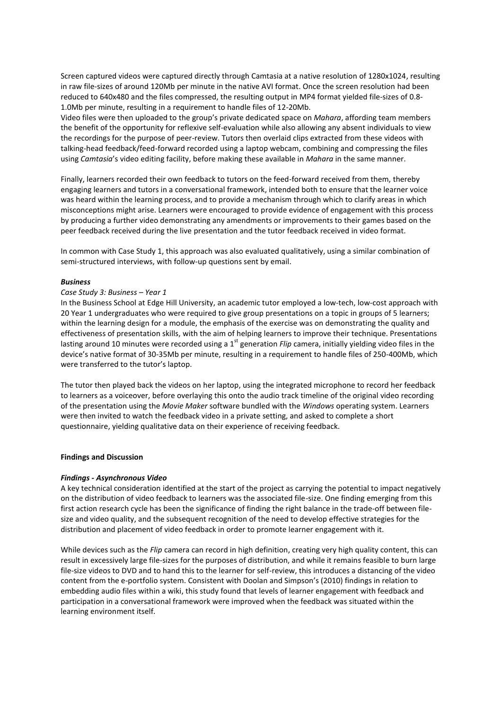Screen captured videos were captured directly through Camtasia at a native resolution of 1280x1024, resulting in raw file-sizes of around 120Mb per minute in the native AVI format. Once the screen resolution had been reduced to 640x480 and the files compressed, the resulting output in MP4 format yielded file-sizes of 0.8- 1.0Mb per minute, resulting in a requirement to handle files of 12-20Mb.

Video files were then uploaded to the group's private dedicated space on *Mahara*, affording team members the benefit of the opportunity for reflexive self-evaluation while also allowing any absent individuals to view the recordings for the purpose of peer-review. Tutors then overlaid clips extracted from these videos with talking-head feedback/feed-forward recorded using a laptop webcam, combining and compressing the files using *Camtasia*'s video editing facility, before making these available in *Mahara* in the same manner.

Finally, learners recorded their own feedback to tutors on the feed-forward received from them, thereby engaging learners and tutors in a conversational framework, intended both to ensure that the learner voice was heard within the learning process, and to provide a mechanism through which to clarify areas in which misconceptions might arise. Learners were encouraged to provide evidence of engagement with this process by producing a further video demonstrating any amendments or improvements to their games based on the peer feedback received during the live presentation and the tutor feedback received in video format.

In common with Case Study 1, this approach was also evaluated qualitatively, using a similar combination of semi-structured interviews, with follow-up questions sent by email.

#### *Business*

#### *Case Study 3: Business – Year 1*

In the Business School at Edge Hill University, an academic tutor employed a low-tech, low-cost approach with 20 Year 1 undergraduates who were required to give group presentations on a topic in groups of 5 learners; within the learning design for a module, the emphasis of the exercise was on demonstrating the quality and effectiveness of presentation skills, with the aim of helping learners to improve their technique. Presentations lasting around 10 minutes were recorded using a 1<sup>st</sup> generation *Flip* camera, initially yielding video files in the device's native format of 30-35Mb per minute, resulting in a requirement to handle files of 250-400Mb, which were transferred to the tutor's laptop.

The tutor then played back the videos on her laptop, using the integrated microphone to record her feedback to learners as a voiceover, before overlaying this onto the audio track timeline of the original video recording of the presentation using the *Movie Maker* software bundled with the *Windows* operating system. Learners were then invited to watch the feedback video in a private setting, and asked to complete a short questionnaire, yielding qualitative data on their experience of receiving feedback.

#### **Findings and Discussion**

#### *Findings - Asynchronous Video*

A key technical consideration identified at the start of the project as carrying the potential to impact negatively on the distribution of video feedback to learners was the associated file-size. One finding emerging from this first action research cycle has been the significance of finding the right balance in the trade-off between filesize and video quality, and the subsequent recognition of the need to develop effective strategies for the distribution and placement of video feedback in order to promote learner engagement with it.

While devices such as the *Flip* camera can record in high definition, creating very high quality content, this can result in excessively large file-sizes for the purposes of distribution, and while it remains feasible to burn large file-size videos to DVD and to hand this to the learner for self-review, this introduces a distancing of the video content from the e-portfolio system. Consistent with Doolan and Simpson's (2010) findings in relation to embedding audio files within a wiki, this study found that levels of learner engagement with feedback and participation in a conversational framework were improved when the feedback was situated within the learning environment itself.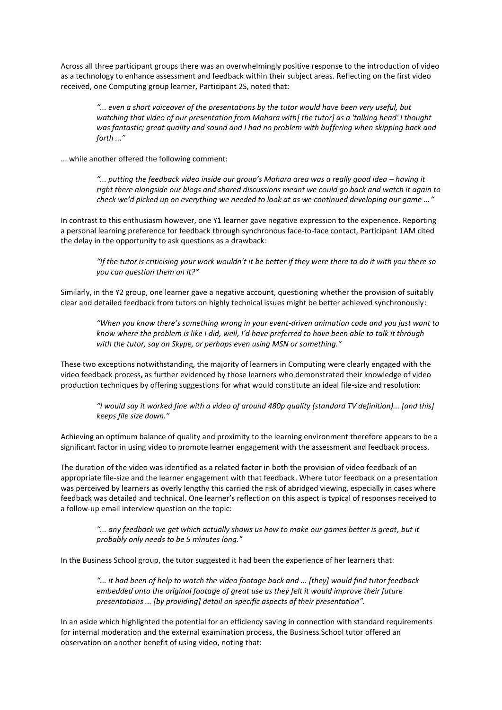Across all three participant groups there was an overwhelmingly positive response to the introduction of video as a technology to enhance assessment and feedback within their subject areas. Reflecting on the first video received, one Computing group learner, Participant 2S, noted that:

*"... even a short voiceover of the presentations by the tutor would have been very useful, but watching that video of our presentation from Mahara with[ the tutor] as a 'talking head' I thought was fantastic; great quality and sound and I had no problem with buffering when skipping back and forth ..."*

... while another offered the following comment:

*"... putting the feedback video inside our group's Mahara area was a really good idea – having it right there alongside our blogs and shared discussions meant we could go back and watch it again to check we'd picked up on everything we needed to look at as we continued developing our game ..."*

In contrast to this enthusiasm however, one Y1 learner gave negative expression to the experience. Reporting a personal learning preference for feedback through synchronous face-to-face contact, Participant 1AM cited the delay in the opportunity to ask questions as a drawback:

*"If the tutor is criticising your work wouldn't it be better if they were there to do it with you there so you can question them on it?"*

Similarly, in the Y2 group, one learner gave a negative account, questioning whether the provision of suitably clear and detailed feedback from tutors on highly technical issues might be better achieved synchronously:

*"When you know there's something wrong in your event-driven animation code and you just want to know where the problem is like I did, well, I'd have preferred to have been able to talk it through with the tutor, say on Skype, or perhaps even using MSN or something."*

These two exceptions notwithstanding, the majority of learners in Computing were clearly engaged with the video feedback process, as further evidenced by those learners who demonstrated their knowledge of video production techniques by offering suggestions for what would constitute an ideal file-size and resolution:

*"I would say it worked fine with a video of around 480p quality (standard TV definition)... [and this] keeps file size down."*

Achieving an optimum balance of quality and proximity to the learning environment therefore appears to be a significant factor in using video to promote learner engagement with the assessment and feedback process.

The duration of the video was identified as a related factor in both the provision of video feedback of an appropriate file-size and the learner engagement with that feedback. Where tutor feedback on a presentation was perceived by learners as overly lengthy this carried the risk of abridged viewing, especially in cases where feedback was detailed and technical. One learner's reflection on this aspect is typical of responses received to a follow-up email interview question on the topic:

*"... any feedback we get which actually shows us how to make our games better is great, but it probably only needs to be 5 minutes long."*

In the Business School group, the tutor suggested it had been the experience of her learners that:

*"... it had been of help to watch the video footage back and ... [they] would find tutor feedback embedded onto the original footage of great use as they felt it would improve their future presentations ... [by providing] detail on specific aspects of their presentation".*

In an aside which highlighted the potential for an efficiency saving in connection with standard requirements for internal moderation and the external examination process, the Business School tutor offered an observation on another benefit of using video, noting that: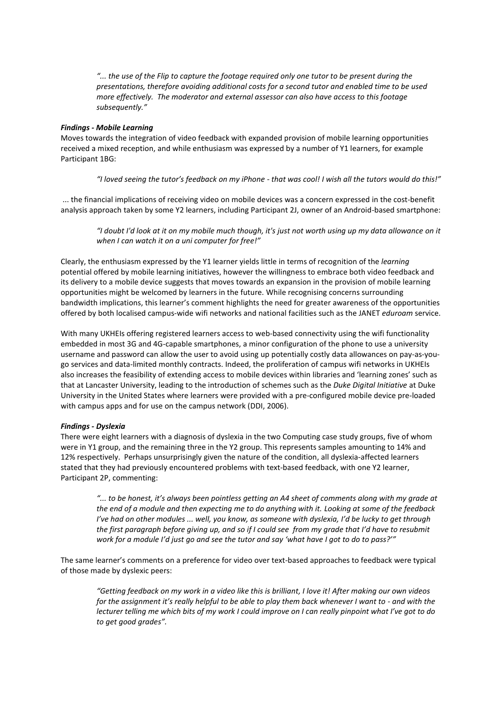*"... the use of the Flip to capture the footage required only one tutor to be present during the presentations, therefore avoiding additional costs for a second tutor and enabled time to be used more effectively. The moderator and external assessor can also have access to this footage subsequently."*

## *Findings - Mobile Learning*

Moves towards the integration of video feedback with expanded provision of mobile learning opportunities received a mixed reception, and while enthusiasm was expressed by a number of Y1 learners, for example Participant 1BG:

*"I loved seeing the tutor's feedback on my iPhone - that was cool! I wish all the tutors would do this!"*

... the financial implications of receiving video on mobile devices was a concern expressed in the cost-benefit analysis approach taken by some Y2 learners, including Participant 2J, owner of an Android-based smartphone:

*"I doubt I'd look at it on my mobile much though, it's just not worth using up my data allowance on it when I can watch it on a uni computer for free!"*

Clearly, the enthusiasm expressed by the Y1 learner yields little in terms of recognition of the *learning* potential offered by mobile learning initiatives, however the willingness to embrace both video feedback and its delivery to a mobile device suggests that moves towards an expansion in the provision of mobile learning opportunities might be welcomed by learners in the future. While recognising concerns surrounding bandwidth implications, this learner's comment highlights the need for greater awareness of the opportunities offered by both localised campus-wide wifi networks and national facilities such as the JANET *eduroam* service.

With many UKHEIs offering registered learners access to web-based connectivity using the wifi functionality embedded in most 3G and 4G-capable smartphones, a minor configuration of the phone to use a university username and password can allow the user to avoid using up potentially costly data allowances on pay-as-yougo services and data-limited monthly contracts. Indeed, the proliferation of campus wifi networks in UKHEIs also increases the feasibility of extending access to mobile devices within libraries and 'learning zones' such as that at Lancaster University, leading to the introduction of schemes such as the *Duke Digital Initiative* at Duke University in the United States where learners were provided with a pre-configured mobile device pre-loaded with campus apps and for use on the campus network (DDI, 2006).

# *Findings - Dyslexia*

There were eight learners with a diagnosis of dyslexia in the two Computing case study groups, five of whom were in Y1 group, and the remaining three in the Y2 group. This represents samples amounting to 14% and 12% respectively. Perhaps unsurprisingly given the nature of the condition, all dyslexia-affected learners stated that they had previously encountered problems with text-based feedback, with one Y2 learner, Participant 2P, commenting:

*"... to be honest, it's always been pointless getting an A4 sheet of comments along with my grade at the end of a module and then expecting me to do anything with it. Looking at some of the feedback I've had on other modules ... well, you know, as someone with dyslexia, I'd be lucky to get through the first paragraph before giving up, and so if I could see from my grade that I'd have to resubmit work for a module I'd just go and see the tutor and say 'what have I got to do to pass?'"*

The same learner's comments on a preference for video over text-based approaches to feedback were typical of those made by dyslexic peers:

*"Getting feedback on my work in a video like this is brilliant, I love it! After making our own videos for the assignment it's really helpful to be able to play them back whenever I want to - and with the lecturer telling me which bits of my work I could improve on I can really pinpoint what I've got to do to get good grades".*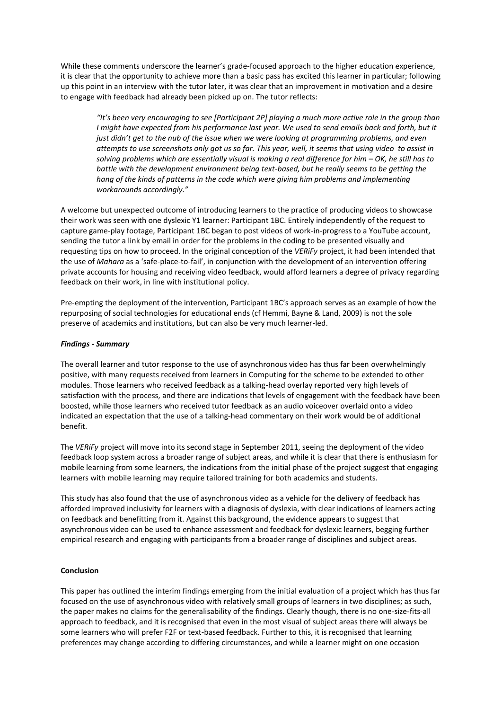While these comments underscore the learner's grade-focused approach to the higher education experience, it is clear that the opportunity to achieve more than a basic pass has excited this learner in particular; following up this point in an interview with the tutor later, it was clear that an improvement in motivation and a desire to engage with feedback had already been picked up on. The tutor reflects:

*"It's been very encouraging to see [Participant 2P] playing a much more active role in the group than I might have expected from his performance last year. We used to send emails back and forth, but it just didn't get to the nub of the issue when we were looking at programming problems, and even attempts to use screenshots only got us so far. This year, well, it seems that using video to assist in solving problems which are essentially visual is making a real difference for him – OK, he still has to battle with the development environment being text-based, but he really seems to be getting the hang of the kinds of patterns in the code which were giving him problems and implementing workarounds accordingly."*

A welcome but unexpected outcome of introducing learners to the practice of producing videos to showcase their work was seen with one dyslexic Y1 learner: Participant 1BC. Entirely independently of the request to capture game-play footage, Participant 1BC began to post videos of work-in-progress to a YouTube account, sending the tutor a link by email in order for the problems in the coding to be presented visually and requesting tips on how to proceed. In the original conception of the *VERiFy* project, it had been intended that the use of *Mahara* as a 'safe-place-to-fail', in conjunction with the development of an intervention offering private accounts for housing and receiving video feedback, would afford learners a degree of privacy regarding feedback on their work, in line with institutional policy.

Pre-empting the deployment of the intervention, Participant 1BC's approach serves as an example of how the repurposing of social technologies for educational ends (cf Hemmi, Bayne & Land, 2009) is not the sole preserve of academics and institutions, but can also be very much learner-led.

### *Findings - Summary*

The overall learner and tutor response to the use of asynchronous video has thus far been overwhelmingly positive, with many requests received from learners in Computing for the scheme to be extended to other modules. Those learners who received feedback as a talking-head overlay reported very high levels of satisfaction with the process, and there are indications that levels of engagement with the feedback have been boosted, while those learners who received tutor feedback as an audio voiceover overlaid onto a video indicated an expectation that the use of a talking-head commentary on their work would be of additional benefit.

The *VERiFy* project will move into its second stage in September 2011, seeing the deployment of the video feedback loop system across a broader range of subject areas, and while it is clear that there is enthusiasm for mobile learning from some learners, the indications from the initial phase of the project suggest that engaging learners with mobile learning may require tailored training for both academics and students.

This study has also found that the use of asynchronous video as a vehicle for the delivery of feedback has afforded improved inclusivity for learners with a diagnosis of dyslexia, with clear indications of learners acting on feedback and benefitting from it. Against this background, the evidence appears to suggest that asynchronous video can be used to enhance assessment and feedback for dyslexic learners, begging further empirical research and engaging with participants from a broader range of disciplines and subject areas.

#### **Conclusion**

This paper has outlined the interim findings emerging from the initial evaluation of a project which has thus far focused on the use of asynchronous video with relatively small groups of learners in two disciplines; as such, the paper makes no claims for the generalisability of the findings. Clearly though, there is no one-size-fits-all approach to feedback, and it is recognised that even in the most visual of subject areas there will always be some learners who will prefer F2F or text-based feedback. Further to this, it is recognised that learning preferences may change according to differing circumstances, and while a learner might on one occasion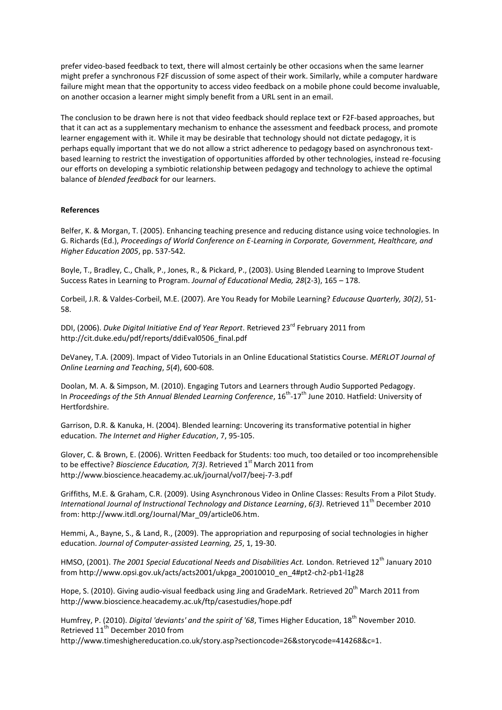prefer video-based feedback to text, there will almost certainly be other occasions when the same learner might prefer a synchronous F2F discussion of some aspect of their work. Similarly, while a computer hardware failure might mean that the opportunity to access video feedback on a mobile phone could become invaluable, on another occasion a learner might simply benefit from a URL sent in an email.

The conclusion to be drawn here is not that video feedback should replace text or F2F-based approaches, but that it can act as a supplementary mechanism to enhance the assessment and feedback process, and promote learner engagement with it. While it may be desirable that technology should not dictate pedagogy, it is perhaps equally important that we do not allow a strict adherence to pedagogy based on asynchronous textbased learning to restrict the investigation of opportunities afforded by other technologies, instead re-focusing our efforts on developing a symbiotic relationship between pedagogy and technology to achieve the optimal balance of *blended feedback* for our learners.

#### **References**

Belfer, K. & Morgan, T. (2005). Enhancing teaching presence and reducing distance using voice technologies. In G. Richards (Ed.), *Proceedings of World Conference on E-Learning in Corporate, Government, Healthcare, and Higher Education 2005*, pp. 537-542*.*

Boyle, T., Bradley, C., Chalk, P., Jones, R., & Pickard, P., (2003). Using Blended Learning to Improve Student Success Rates in Learning to Program. *Journal of Educational Media, 28*(2-3), 165 – 178.

Corbeil, J.R. & Valdes-Corbeil, M.E. (2007). Are You Ready for Mobile Learning? *Educause Quarterly, 30(2)*, 51- 58.

DDI, (2006). *Duke Digital Initiative End of Year Report*. Retrieved 23<sup>rd</sup> February 2011 from http://cit.duke.edu/pdf/reports/ddiEval0506\_final.pdf

DeVaney, T.A. (2009). Impact of Video Tutorials in an Online Educational Statistics Course. *MERLOT Journal of Online Learning and Teaching*, *5*(*4*), 600-608.

Doolan, M. A. & Simpson, M. (2010). Engaging Tutors and Learners through Audio Supported Pedagogy. In Proceedings of the 5th Annual Blended Learning Conference, 16<sup>th</sup>-17<sup>th</sup> June 2010. Hatfield: University of Hertfordshire.

Garrison, D.R. & Kanuka, H. (2004). Blended learning: Uncovering its transformative potential in higher education. *The Internet and Higher Education*, 7, 95-105.

Glover, C. & Brown, E. (2006). Written Feedback for Students: too much, too detailed or too incomprehensible to be effective? *Bioscience Education, 7(3)*. Retrieved 1<sup>st</sup> March 2011 from http://www.bioscience.heacademy.ac.uk/journal/vol7/beej-7-3.pdf

Griffiths, M.E. & Graham, C.R. (2009). Using Asynchronous Video in Online Classes: Results From a Pilot Study. *International Journal of Instructional Technology and Distance Learning, 6(3).* Retrieved 11<sup>th</sup> December 2010 from: http://www.itdl.org/Journal/Mar\_09/article06.htm.

Hemmi, A., Bayne, S., & Land, R., (2009). The appropriation and repurposing of social technologies in higher education. *Journal of Computer-assisted Learning, 25*, 1, 19-30.

HMSO, (2001). *The 2001 Special Educational Needs and Disabilities Act.* London. Retrieved 12<sup>th</sup> January 2010 from [http://www.opsi.gov.uk/acts/acts2001/ukpga\\_20010010\\_en\\_4#pt2-ch2-pb1-l1g28](http://www.opsi.gov.uk/acts/acts2001/ukpga_20010010_en_4#pt2-ch2-pb1-l1g28)

Hope, S. (2010). Giving audio-visual feedback using Jing and GradeMark. Retrieved 20<sup>th</sup> March 2011 from http://www.bioscience.heacademy.ac.uk/ftp/casestudies/hope.pdf

Humfrey, P. (2010). *Digital 'deviants' and the spirit of '68*, Times Higher Education, 18th November 2010. Retrieved 11<sup>th</sup> December 2010 from

http://www.timeshighereducation.co.uk/story.asp?sectioncode=26&storycode=414268&c=1.